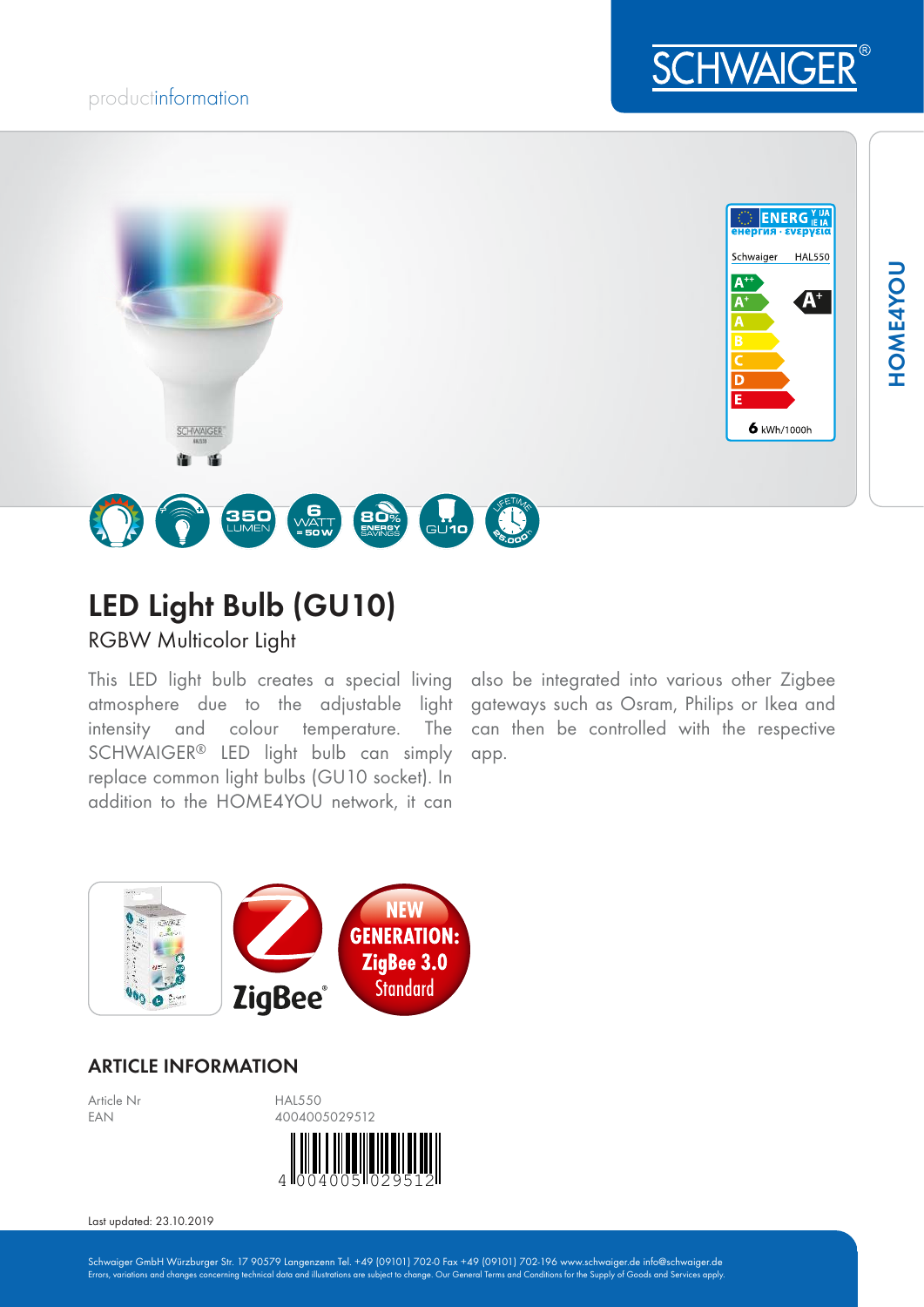## productinformation



6 kWh/1000h



**350** 

RGBW Multicolor Light

SCHWAIGER

This LED light bulb creates a special living also be integrated into various other Zigbee atmosphere due to the adjustable light gateways such as Osram, Philips or Ikea and intensity and colour temperature. The SCHWAIGER® LED light bulb can simply replace common light bulbs (GU10 socket). In addition to the HOME4YOU network, it can

can then be controlled with the respective app.



### ARTICLE INFORMATION



**BO**%

⊡"⊓

**G**<br>WATT<br>= 50 W

Last updated: 23.10.2019